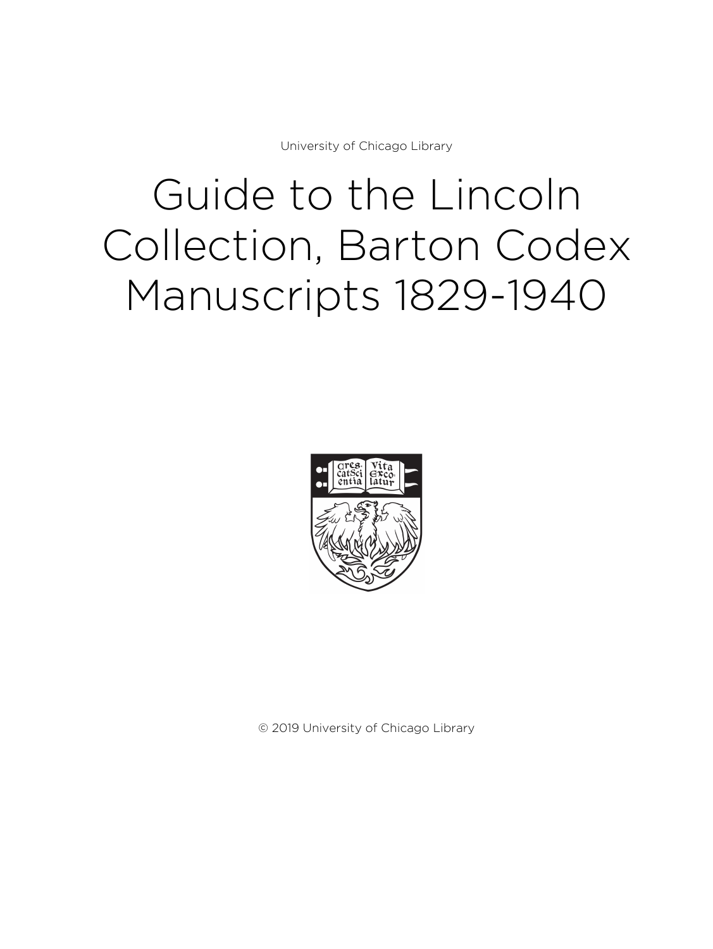University of Chicago Library

# Guide to the Lincoln Collection, Barton Codex Manuscripts 1829-1940



© 2019 University of Chicago Library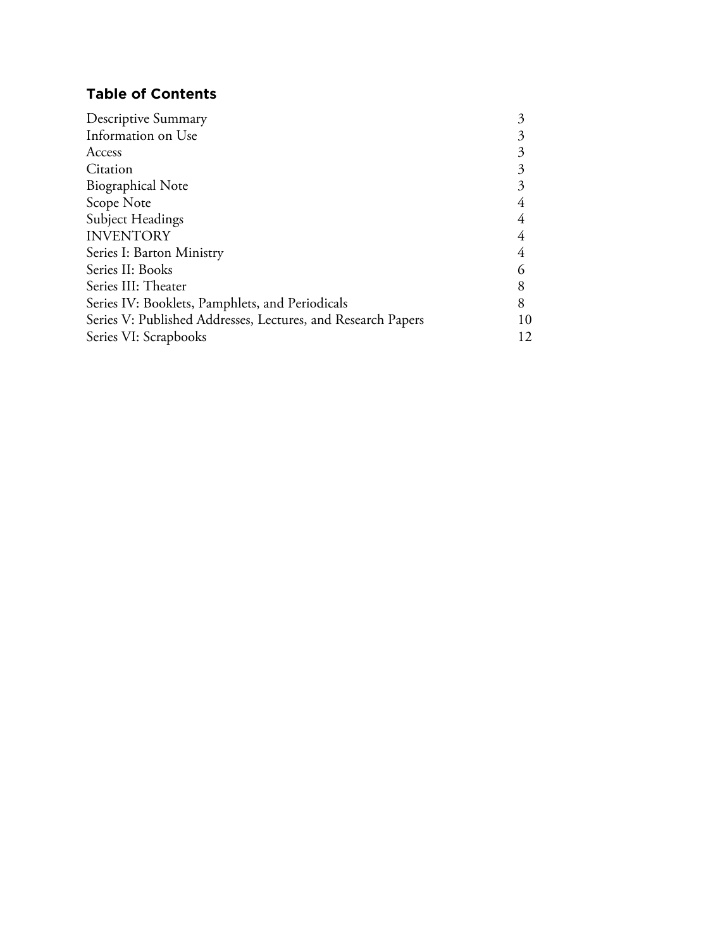# **Table of Contents**

| Descriptive Summary                                          |    |
|--------------------------------------------------------------|----|
| Information on Use                                           |    |
| Access                                                       |    |
| Citation                                                     | 3  |
| <b>Biographical Note</b>                                     |    |
| Scope Note                                                   |    |
| Subject Headings                                             |    |
| <b>INVENTORY</b>                                             | 4  |
| Series I: Barton Ministry                                    | 4  |
| Series II: Books                                             |    |
| Series III: Theater                                          |    |
| Series IV: Booklets, Pamphlets, and Periodicals              |    |
| Series V: Published Addresses, Lectures, and Research Papers | 10 |
| Series VI: Scrapbooks                                        | 12 |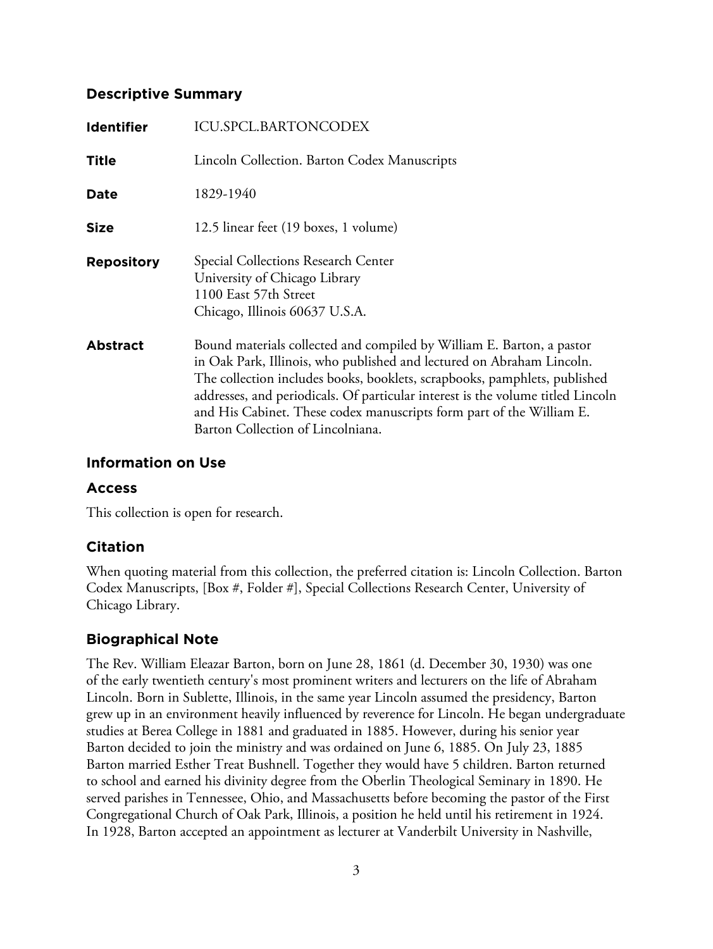# **Descriptive Summary**

| <b>Identifier</b> | <b>ICU.SPCL.BARTONCODEX</b>                                                                                                                                                                                                                                                                                                                                                                                                 |
|-------------------|-----------------------------------------------------------------------------------------------------------------------------------------------------------------------------------------------------------------------------------------------------------------------------------------------------------------------------------------------------------------------------------------------------------------------------|
| <b>Title</b>      | Lincoln Collection. Barton Codex Manuscripts                                                                                                                                                                                                                                                                                                                                                                                |
| Date              | 1829-1940                                                                                                                                                                                                                                                                                                                                                                                                                   |
| <b>Size</b>       | 12.5 linear feet (19 boxes, 1 volume)                                                                                                                                                                                                                                                                                                                                                                                       |
| <b>Repository</b> | Special Collections Research Center<br>University of Chicago Library<br>1100 East 57th Street<br>Chicago, Illinois 60637 U.S.A.                                                                                                                                                                                                                                                                                             |
| <b>Abstract</b>   | Bound materials collected and compiled by William E. Barton, a pastor<br>in Oak Park, Illinois, who published and lectured on Abraham Lincoln.<br>The collection includes books, booklets, scrapbooks, pamphlets, published<br>addresses, and periodicals. Of particular interest is the volume titled Lincoln<br>and His Cabinet. These codex manuscripts form part of the William E.<br>Barton Collection of Lincolniana. |

# **Information on Use**

# **Access**

This collection is open for research.

# **Citation**

When quoting material from this collection, the preferred citation is: Lincoln Collection. Barton Codex Manuscripts, [Box #, Folder #], Special Collections Research Center, University of Chicago Library.

# **Biographical Note**

The Rev. William Eleazar Barton, born on June 28, 1861 (d. December 30, 1930) was one of the early twentieth century's most prominent writers and lecturers on the life of Abraham Lincoln. Born in Sublette, Illinois, in the same year Lincoln assumed the presidency, Barton grew up in an environment heavily influenced by reverence for Lincoln. He began undergraduate studies at Berea College in 1881 and graduated in 1885. However, during his senior year Barton decided to join the ministry and was ordained on June 6, 1885. On July 23, 1885 Barton married Esther Treat Bushnell. Together they would have 5 children. Barton returned to school and earned his divinity degree from the Oberlin Theological Seminary in 1890. He served parishes in Tennessee, Ohio, and Massachusetts before becoming the pastor of the First Congregational Church of Oak Park, Illinois, a position he held until his retirement in 1924. In 1928, Barton accepted an appointment as lecturer at Vanderbilt University in Nashville,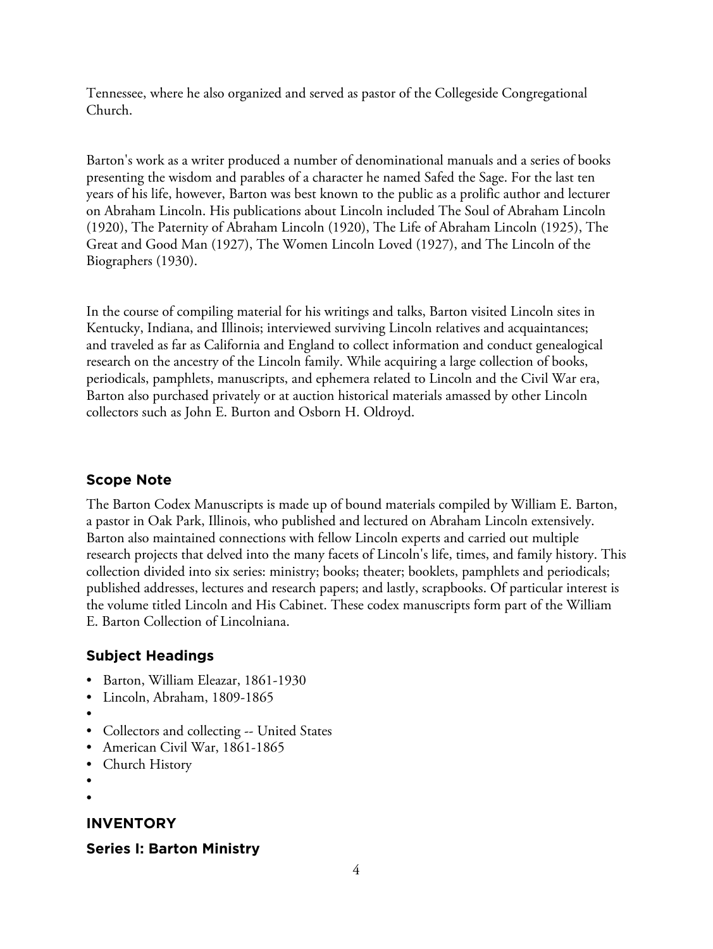Tennessee, where he also organized and served as pastor of the Collegeside Congregational Church.

Barton's work as a writer produced a number of denominational manuals and a series of books presenting the wisdom and parables of a character he named Safed the Sage. For the last ten years of his life, however, Barton was best known to the public as a prolific author and lecturer on Abraham Lincoln. His publications about Lincoln included The Soul of Abraham Lincoln (1920), The Paternity of Abraham Lincoln (1920), The Life of Abraham Lincoln (1925), The Great and Good Man (1927), The Women Lincoln Loved (1927), and The Lincoln of the Biographers (1930).

In the course of compiling material for his writings and talks, Barton visited Lincoln sites in Kentucky, Indiana, and Illinois; interviewed surviving Lincoln relatives and acquaintances; and traveled as far as California and England to collect information and conduct genealogical research on the ancestry of the Lincoln family. While acquiring a large collection of books, periodicals, pamphlets, manuscripts, and ephemera related to Lincoln and the Civil War era, Barton also purchased privately or at auction historical materials amassed by other Lincoln collectors such as John E. Burton and Osborn H. Oldroyd.

# **Scope Note**

The Barton Codex Manuscripts is made up of bound materials compiled by William E. Barton, a pastor in Oak Park, Illinois, who published and lectured on Abraham Lincoln extensively. Barton also maintained connections with fellow Lincoln experts and carried out multiple research projects that delved into the many facets of Lincoln's life, times, and family history. This collection divided into six series: ministry; books; theater; booklets, pamphlets and periodicals; published addresses, lectures and research papers; and lastly, scrapbooks. Of particular interest is the volume titled Lincoln and His Cabinet. These codex manuscripts form part of the William E. Barton Collection of Lincolniana.

# **Subject Headings**

- Barton, William Eleazar, 1861-1930
- Lincoln, Abraham, 1809-1865
- •
- Collectors and collecting -- United States
- American Civil War, 1861-1865
- Church History
- •
- •

# **INVENTORY**

# **Series I: Barton Ministry**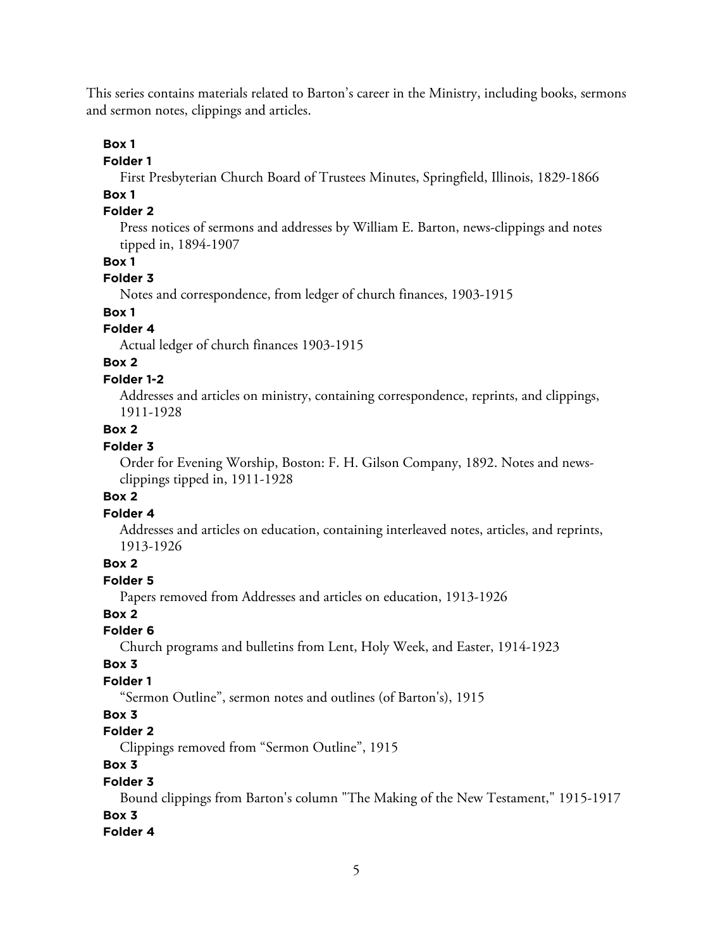This series contains materials related to Barton's career in the Ministry, including books, sermons and sermon notes, clippings and articles.

# **Box 1**

**Folder 1**

First Presbyterian Church Board of Trustees Minutes, Springfield, Illinois, 1829-1866

# **Box 1**

# **Folder 2**

Press notices of sermons and addresses by William E. Barton, news-clippings and notes tipped in, 1894-1907

## **Box 1**

# **Folder 3**

Notes and correspondence, from ledger of church finances, 1903-1915

# **Box 1**

# **Folder 4**

Actual ledger of church finances 1903-1915

# **Box 2**

# **Folder 1-2**

Addresses and articles on ministry, containing correspondence, reprints, and clippings, 1911-1928

# **Box 2**

# **Folder 3**

Order for Evening Worship, Boston: F. H. Gilson Company, 1892. Notes and newsclippings tipped in, 1911-1928

# **Box 2**

# **Folder 4**

Addresses and articles on education, containing interleaved notes, articles, and reprints, 1913-1926

# **Box 2**

# **Folder 5**

Papers removed from Addresses and articles on education, 1913-1926

#### **Box 2**

# **Folder 6**

Church programs and bulletins from Lent, Holy Week, and Easter, 1914-1923

# **Box 3**

# **Folder 1**

"Sermon Outline", sermon notes and outlines (of Barton's), 1915

# **Box 3**

# **Folder 2**

Clippings removed from "Sermon Outline", 1915

# **Box 3**

# **Folder 3**

Bound clippings from Barton's column "The Making of the New Testament," 1915-1917 **Box 3**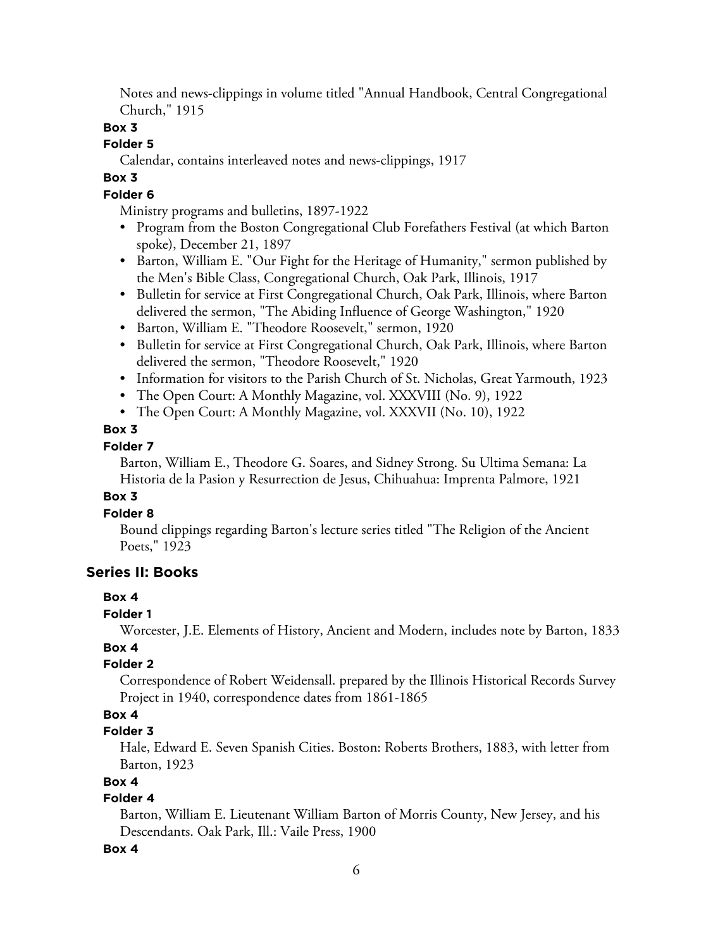Notes and news-clippings in volume titled "Annual Handbook, Central Congregational Church," 1915

# **Box 3**

# **Folder 5**

Calendar, contains interleaved notes and news-clippings, 1917

# **Box 3**

# **Folder 6**

Ministry programs and bulletins, 1897-1922

- Program from the Boston Congregational Club Forefathers Festival (at which Barton spoke), December 21, 1897
- Barton, William E. "Our Fight for the Heritage of Humanity," sermon published by the Men's Bible Class, Congregational Church, Oak Park, Illinois, 1917
- Bulletin for service at First Congregational Church, Oak Park, Illinois, where Barton delivered the sermon, "The Abiding Influence of George Washington," 1920
- Barton, William E. "Theodore Roosevelt," sermon, 1920
- Bulletin for service at First Congregational Church, Oak Park, Illinois, where Barton delivered the sermon, "Theodore Roosevelt," 1920
- Information for visitors to the Parish Church of St. Nicholas, Great Yarmouth, 1923
- The Open Court: A Monthly Magazine, vol. XXXVIII (No. 9), 1922
- The Open Court: A Monthly Magazine, vol. XXXVII (No. 10), 1922

# **Box 3**

# **Folder 7**

Barton, William E., Theodore G. Soares, and Sidney Strong. Su Ultima Semana: La Historia de la Pasion y Resurrection de Jesus, Chihuahua: Imprenta Palmore, 1921

# **Box 3**

# **Folder 8**

Bound clippings regarding Barton's lecture series titled "The Religion of the Ancient Poets," 1923

# **Series II: Books**

# **Box 4**

# **Folder 1**

Worcester, J.E. Elements of History, Ancient and Modern, includes note by Barton, 1833

# **Box 4**

# **Folder 2**

Correspondence of Robert Weidensall. prepared by the Illinois Historical Records Survey Project in 1940, correspondence dates from 1861-1865

# **Box 4**

# **Folder 3**

Hale, Edward E. Seven Spanish Cities. Boston: Roberts Brothers, 1883, with letter from Barton, 1923

# **Box 4**

# **Folder 4**

Barton, William E. Lieutenant William Barton of Morris County, New Jersey, and his Descendants. Oak Park, Ill.: Vaile Press, 1900

# **Box 4**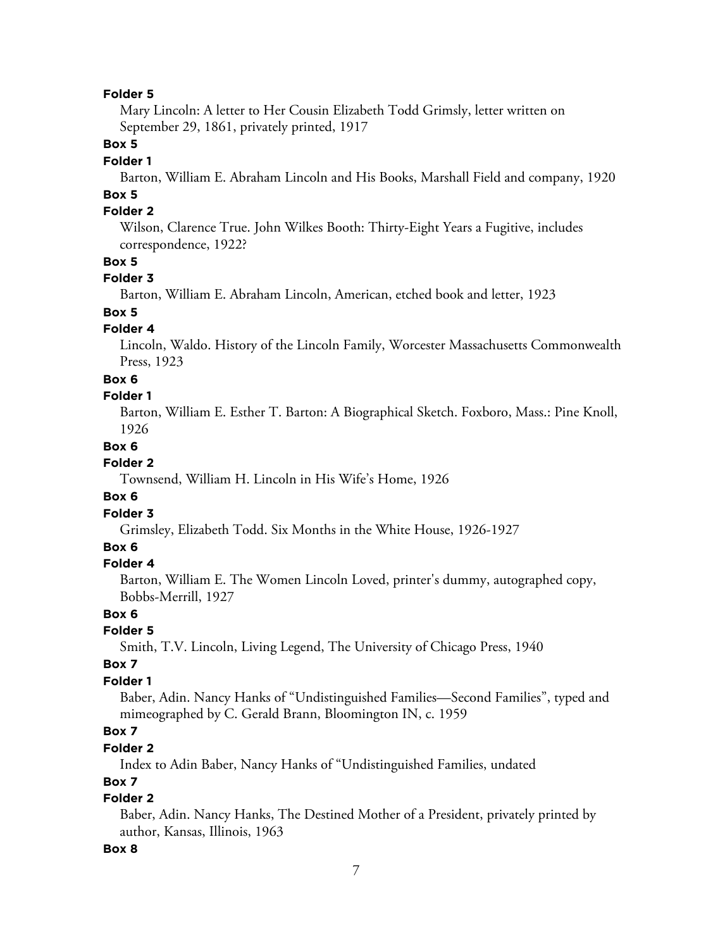Mary Lincoln: A letter to Her Cousin Elizabeth Todd Grimsly, letter written on September 29, 1861, privately printed, 1917

## **Box 5**

#### **Folder 1**

Barton, William E. Abraham Lincoln and His Books, Marshall Field and company, 1920

# **Box 5**

# **Folder 2**

Wilson, Clarence True. John Wilkes Booth: Thirty-Eight Years a Fugitive, includes correspondence, 1922?

# **Box 5**

## **Folder 3**

Barton, William E. Abraham Lincoln, American, etched book and letter, 1923

# **Box 5**

# **Folder 4**

Lincoln, Waldo. History of the Lincoln Family, Worcester Massachusetts Commonwealth Press, 1923

#### **Box 6**

#### **Folder 1**

Barton, William E. Esther T. Barton: A Biographical Sketch. Foxboro, Mass.: Pine Knoll, 1926

## **Box 6**

## **Folder 2**

Townsend, William H. Lincoln in His Wife's Home, 1926

#### **Box 6**

## **Folder 3**

Grimsley, Elizabeth Todd. Six Months in the White House, 1926-1927

# **Box 6**

#### **Folder 4**

Barton, William E. The Women Lincoln Loved, printer's dummy, autographed copy, Bobbs-Merrill, 1927

# **Box 6**

# **Folder 5**

Smith, T.V. Lincoln, Living Legend, The University of Chicago Press, 1940

## **Box 7**

# **Folder 1**

Baber, Adin. Nancy Hanks of "Undistinguished Families—Second Families", typed and mimeographed by C. Gerald Brann, Bloomington IN, c. 1959

# **Box 7**

# **Folder 2**

Index to Adin Baber, Nancy Hanks of "Undistinguished Families, undated

# **Box 7**

# **Folder 2**

Baber, Adin. Nancy Hanks, The Destined Mother of a President, privately printed by author, Kansas, Illinois, 1963

#### **Box 8**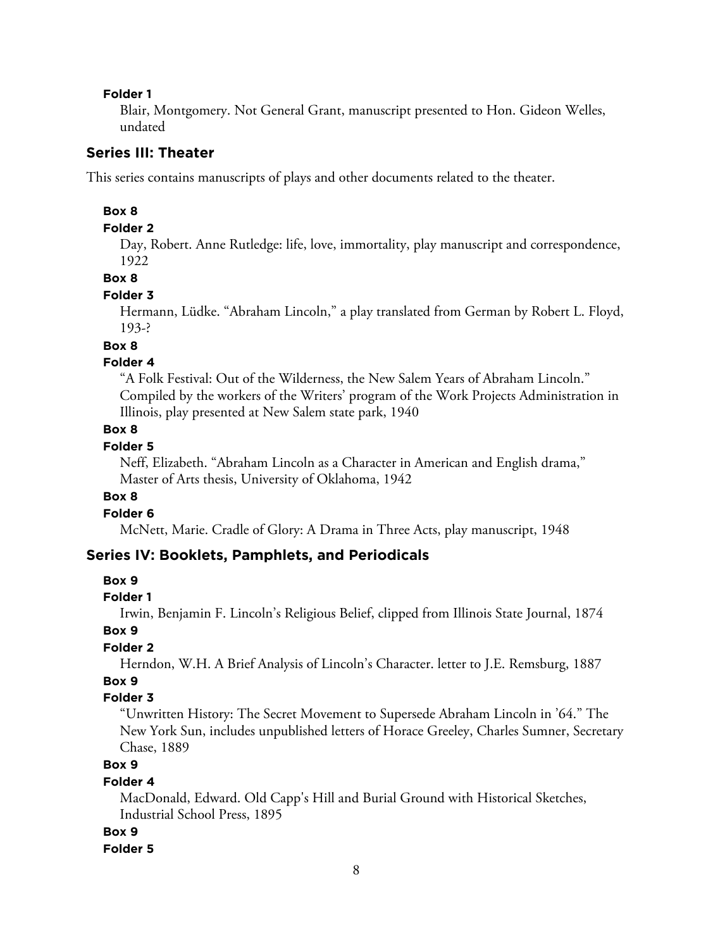Blair, Montgomery. Not General Grant, manuscript presented to Hon. Gideon Welles, undated

# **Series III: Theater**

This series contains manuscripts of plays and other documents related to the theater.

#### **Box 8**

#### **Folder 2**

Day, Robert. Anne Rutledge: life, love, immortality, play manuscript and correspondence, 1922

#### **Box 8**

#### **Folder 3**

Hermann, Lüdke. "Abraham Lincoln," a play translated from German by Robert L. Floyd, 193-?

# **Box 8**

## **Folder 4**

"A Folk Festival: Out of the Wilderness, the New Salem Years of Abraham Lincoln." Compiled by the workers of the Writers' program of the Work Projects Administration in Illinois, play presented at New Salem state park, 1940

## **Box 8**

# **Folder 5**

Neff, Elizabeth. "Abraham Lincoln as a Character in American and English drama," Master of Arts thesis, University of Oklahoma, 1942

## **Box 8**

## **Folder 6**

McNett, Marie. Cradle of Glory: A Drama in Three Acts, play manuscript, 1948

# **Series IV: Booklets, Pamphlets, and Periodicals**

#### **Box 9**

#### **Folder 1**

Irwin, Benjamin F. Lincoln's Religious Belief, clipped from Illinois State Journal, 1874

#### **Box 9**

# **Folder 2**

Herndon, W.H. A Brief Analysis of Lincoln's Character. letter to J.E. Remsburg, 1887

# **Box 9**

## **Folder 3**

"Unwritten History: The Secret Movement to Supersede Abraham Lincoln in '64." The New York Sun, includes unpublished letters of Horace Greeley, Charles Sumner, Secretary Chase, 1889

# **Box 9**

#### **Folder 4**

MacDonald, Edward. Old Capp's Hill and Burial Ground with Historical Sketches, Industrial School Press, 1895

#### **Box 9**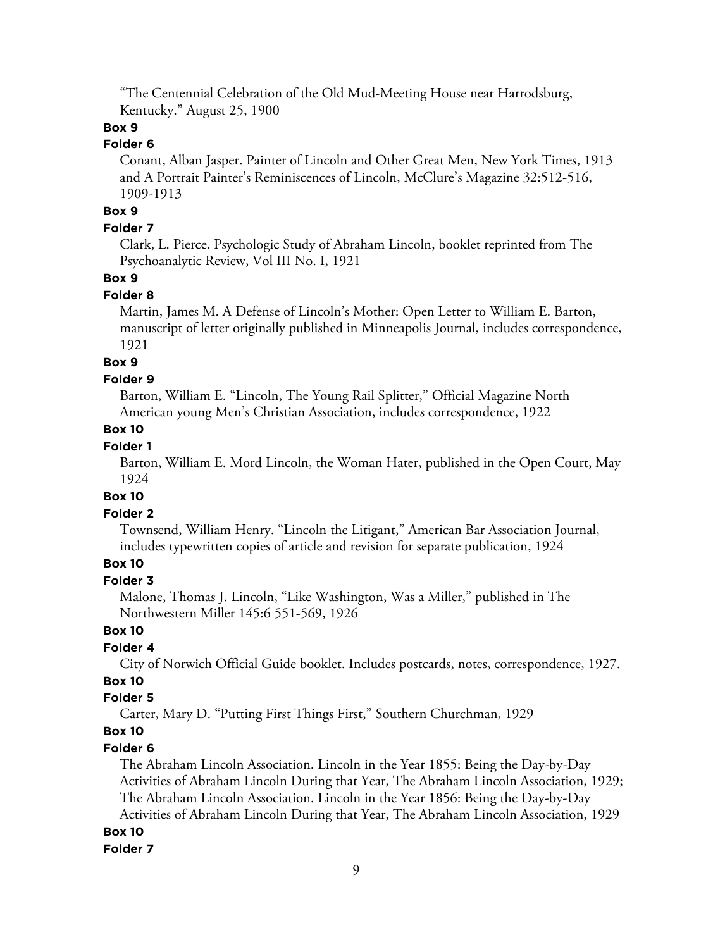"The Centennial Celebration of the Old Mud-Meeting House near Harrodsburg, Kentucky." August 25, 1900

# **Box 9**

# **Folder 6**

Conant, Alban Jasper. Painter of Lincoln and Other Great Men, New York Times, 1913 and A Portrait Painter's Reminiscences of Lincoln, McClure's Magazine 32:512-516, 1909-1913

# **Box 9**

# **Folder 7**

Clark, L. Pierce. Psychologic Study of Abraham Lincoln, booklet reprinted from The Psychoanalytic Review, Vol III No. I, 1921

## **Box 9**

#### **Folder 8**

Martin, James M. A Defense of Lincoln's Mother: Open Letter to William E. Barton, manuscript of letter originally published in Minneapolis Journal, includes correspondence, 1921

## **Box 9**

#### **Folder 9**

Barton, William E. "Lincoln, The Young Rail Splitter," Official Magazine North American young Men's Christian Association, includes correspondence, 1922

# **Box 10**

# **Folder 1**

Barton, William E. Mord Lincoln, the Woman Hater, published in the Open Court, May 1924

#### **Box 10**

#### **Folder 2**

Townsend, William Henry. "Lincoln the Litigant," American Bar Association Journal, includes typewritten copies of article and revision for separate publication, 1924

# **Box 10**

# **Folder 3**

Malone, Thomas J. Lincoln, "Like Washington, Was a Miller," published in The Northwestern Miller 145:6 551-569, 1926

#### **Box 10**

#### **Folder 4**

City of Norwich Official Guide booklet. Includes postcards, notes, correspondence, 1927.

# **Box 10**

## **Folder 5**

Carter, Mary D. "Putting First Things First," Southern Churchman, 1929

# **Box 10**

#### **Folder 6**

The Abraham Lincoln Association. Lincoln in the Year 1855: Being the Day-by-Day Activities of Abraham Lincoln During that Year, The Abraham Lincoln Association, 1929; The Abraham Lincoln Association. Lincoln in the Year 1856: Being the Day-by-Day

Activities of Abraham Lincoln During that Year, The Abraham Lincoln Association, 1929

# **Box 10**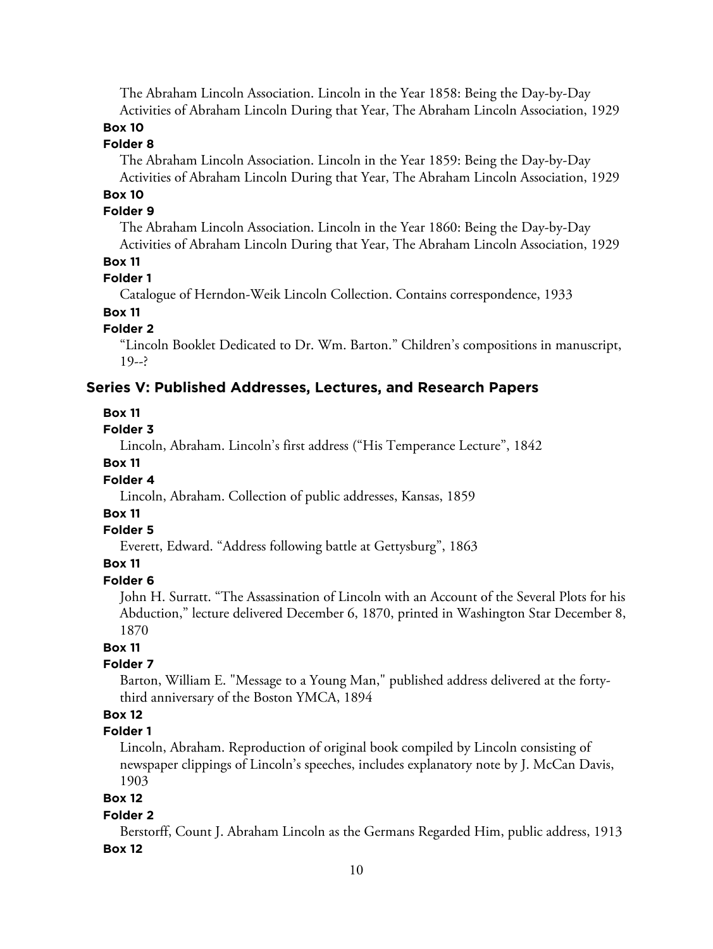The Abraham Lincoln Association. Lincoln in the Year 1858: Being the Day-by-Day Activities of Abraham Lincoln During that Year, The Abraham Lincoln Association, 1929

# **Box 10**

# **Folder 8**

The Abraham Lincoln Association. Lincoln in the Year 1859: Being the Day-by-Day Activities of Abraham Lincoln During that Year, The Abraham Lincoln Association, 1929

# **Box 10**

# **Folder 9**

The Abraham Lincoln Association. Lincoln in the Year 1860: Being the Day-by-Day Activities of Abraham Lincoln During that Year, The Abraham Lincoln Association, 1929

#### **Box 11**

#### **Folder 1**

Catalogue of Herndon-Weik Lincoln Collection. Contains correspondence, 1933

# **Box 11**

# **Folder 2**

"Lincoln Booklet Dedicated to Dr. Wm. Barton." Children's compositions in manuscript,  $19 - ?$ 

## **Series V: Published Addresses, Lectures, and Research Papers**

#### **Box 11**

#### **Folder 3**

Lincoln, Abraham. Lincoln's first address ("His Temperance Lecture", 1842

## **Box 11**

#### **Folder 4**

Lincoln, Abraham. Collection of public addresses, Kansas, 1859

# **Box 11**

#### **Folder 5**

Everett, Edward. "Address following battle at Gettysburg", 1863

# **Box 11**

# **Folder 6**

John H. Surratt. "The Assassination of Lincoln with an Account of the Several Plots for his Abduction," lecture delivered December 6, 1870, printed in Washington Star December 8, 1870

#### **Box 11**

#### **Folder 7**

Barton, William E. "Message to a Young Man," published address delivered at the fortythird anniversary of the Boston YMCA, 1894

# **Box 12**

# **Folder 1**

Lincoln, Abraham. Reproduction of original book compiled by Lincoln consisting of newspaper clippings of Lincoln's speeches, includes explanatory note by J. McCan Davis, 1903

# **Box 12**

#### **Folder 2**

Berstorff, Count J. Abraham Lincoln as the Germans Regarded Him, public address, 1913 **Box 12**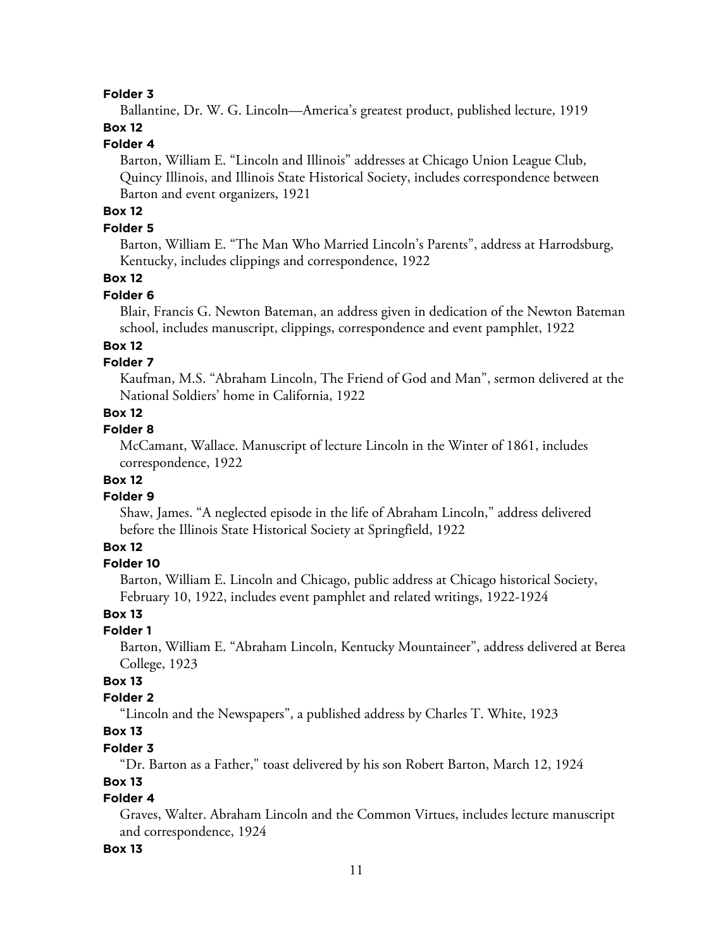Ballantine, Dr. W. G. Lincoln—America's greatest product, published lecture, 1919

# **Box 12**

# **Folder 4**

Barton, William E. "Lincoln and Illinois" addresses at Chicago Union League Club, Quincy Illinois, and Illinois State Historical Society, includes correspondence between Barton and event organizers, 1921

# **Box 12**

## **Folder 5**

Barton, William E. "The Man Who Married Lincoln's Parents", address at Harrodsburg, Kentucky, includes clippings and correspondence, 1922

# **Box 12**

# **Folder 6**

Blair, Francis G. Newton Bateman, an address given in dedication of the Newton Bateman school, includes manuscript, clippings, correspondence and event pamphlet, 1922

# **Box 12**

# **Folder 7**

Kaufman, M.S. "Abraham Lincoln, The Friend of God and Man", sermon delivered at the National Soldiers' home in California, 1922

# **Box 12**

# **Folder 8**

McCamant, Wallace. Manuscript of lecture Lincoln in the Winter of 1861, includes correspondence, 1922

# **Box 12**

#### **Folder 9**

Shaw, James. "A neglected episode in the life of Abraham Lincoln," address delivered before the Illinois State Historical Society at Springfield, 1922

# **Box 12**

### **Folder 10**

Barton, William E. Lincoln and Chicago, public address at Chicago historical Society, February 10, 1922, includes event pamphlet and related writings, 1922-1924

# **Box 13**

## **Folder 1**

Barton, William E. "Abraham Lincoln, Kentucky Mountaineer", address delivered at Berea College, 1923

# **Box 13**

# **Folder 2**

"Lincoln and the Newspapers", a published address by Charles T. White, 1923

# **Box 13**

## **Folder 3**

"Dr. Barton as a Father," toast delivered by his son Robert Barton, March 12, 1924

#### **Box 13**

# **Folder 4**

Graves, Walter. Abraham Lincoln and the Common Virtues, includes lecture manuscript and correspondence, 1924

#### **Box 13**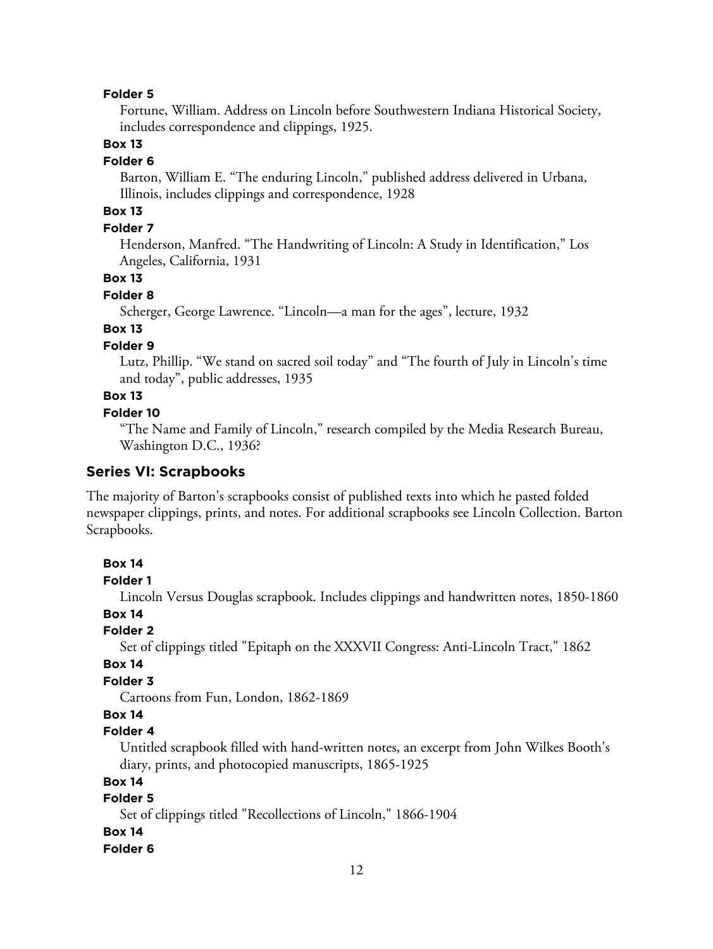Fortune, William. Address on Lincoln before Southwestern Indiana Historical Society, includes correspondence and clippings, 1925.

# **Box 13**

#### **Folder 6**

Barton, William E. "The enduring Lincoln," published address delivered in Urbana, Illinois, includes clippings and correspondence, 1928

# **Box 13**

## **Folder 7**

Henderson, Manfred. "The Handwriting of Lincoln: A Study in Identification," Los Angeles, California, 1931

# **Box 13**

## **Folder 8**

Scherger, George Lawrence. "Lincoln—a man for the ages", lecture, 1932

# **Box 13**

# **Folder 9**

Lutz, Phillip. "We stand on sacred soil today" and "The fourth of July in Lincoln's time and today", public addresses, 1935

# **Box 13**

# **Folder 10**

"The Name and Family of Lincoln," research compiled by the Media Research Bureau, Washington D.C., 1936?

# **Series VI: Scrapbooks**

The majority of Barton's scrapbooks consist of published texts into which he pasted folded newspaper clippings, prints, and notes. For additional scrapbooks see Lincoln Collection. Barton Scrapbooks.

# **Box 14**

#### **Folder 1**

Lincoln Versus Douglas scrapbook. Includes clippings and handwritten notes, 1850-1860

## **Box 14**

#### **Folder 2**

Set of clippings titled "Epitaph on the XXXVII Congress: Anti-Lincoln Tract," 1862

#### **Box 14**

# **Folder 3**

Cartoons from Fun, London, 1862-1869

# **Box 14**

# **Folder 4**

Untitled scrapbook filled with hand-written notes, an excerpt from John Wilkes Booth's diary, prints, and photocopied manuscripts, 1865-1925

# **Box 14**

# **Folder 5**

Set of clippings titled "Recollections of Lincoln," 1866-1904

#### **Box 14**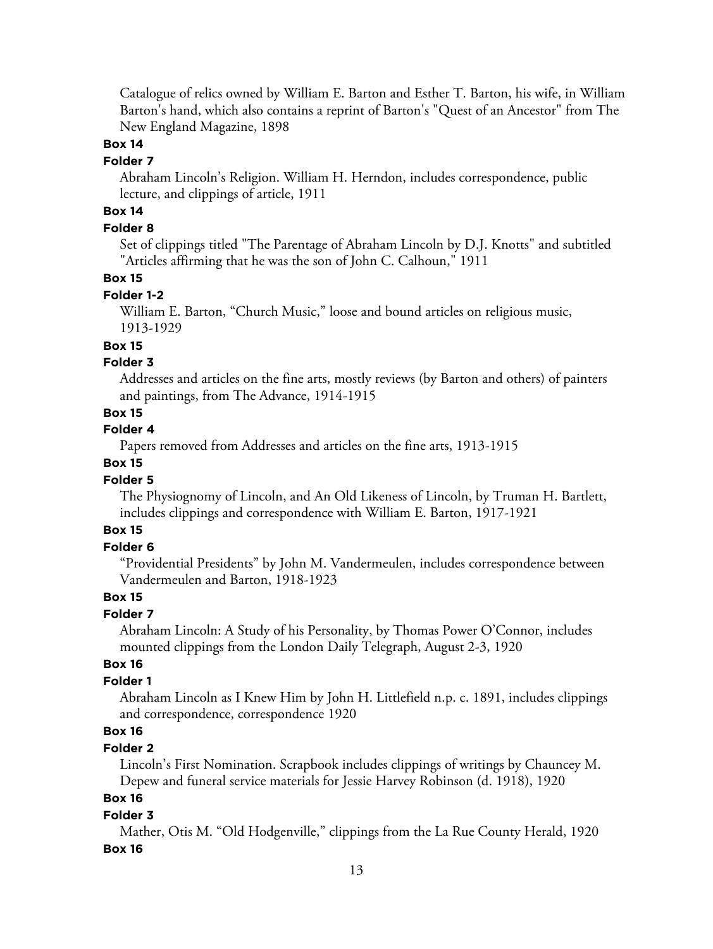Catalogue of relics owned by William E. Barton and Esther T. Barton, his wife, in William Barton's hand, which also contains a reprint of Barton's "Quest of an Ancestor" from The New England Magazine, 1898

#### **Box 14**

#### **Folder 7**

Abraham Lincoln's Religion. William H. Herndon, includes correspondence, public lecture, and clippings of article, 1911

# **Box 14**

## **Folder 8**

Set of clippings titled "The Parentage of Abraham Lincoln by D.J. Knotts" and subtitled "Articles affirming that he was the son of John C. Calhoun," 1911

#### **Box 15**

#### **Folder 1-2**

William E. Barton, "Church Music," loose and bound articles on religious music, 1913-1929

## **Box 15**

# **Folder 3**

Addresses and articles on the fine arts, mostly reviews (by Barton and others) of painters and paintings, from The Advance, 1914-1915

# **Box 15**

# **Folder 4**

Papers removed from Addresses and articles on the fine arts, 1913-1915

#### **Box 15**

## **Folder 5**

The Physiognomy of Lincoln, and An Old Likeness of Lincoln, by Truman H. Bartlett, includes clippings and correspondence with William E. Barton, 1917-1921

# **Box 15**

## **Folder 6**

"Providential Presidents" by John M. Vandermeulen, includes correspondence between Vandermeulen and Barton, 1918-1923

# **Box 15**

#### **Folder 7**

Abraham Lincoln: A Study of his Personality, by Thomas Power O'Connor, includes mounted clippings from the London Daily Telegraph, August 2-3, 1920

# **Box 16**

# **Folder 1**

Abraham Lincoln as I Knew Him by John H. Littlefield n.p. c. 1891, includes clippings and correspondence, correspondence 1920

# **Box 16**

# **Folder 2**

Lincoln's First Nomination. Scrapbook includes clippings of writings by Chauncey M. Depew and funeral service materials for Jessie Harvey Robinson (d. 1918), 1920

## **Box 16**

#### **Folder 3**

Mather, Otis M. "Old Hodgenville," clippings from the La Rue County Herald, 1920 **Box 16**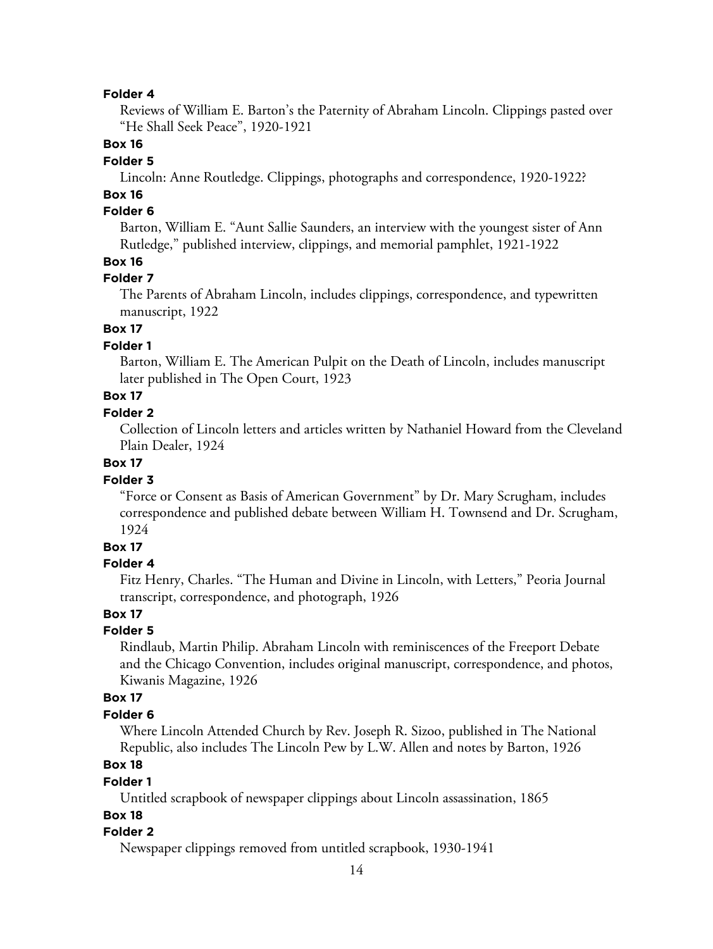Reviews of William E. Barton's the Paternity of Abraham Lincoln. Clippings pasted over "He Shall Seek Peace", 1920-1921

## **Box 16**

# **Folder 5**

Lincoln: Anne Routledge. Clippings, photographs and correspondence, 1920-1922?

# **Box 16**

# **Folder 6**

Barton, William E. "Aunt Sallie Saunders, an interview with the youngest sister of Ann Rutledge," published interview, clippings, and memorial pamphlet, 1921-1922

# **Box 16**

## **Folder 7**

The Parents of Abraham Lincoln, includes clippings, correspondence, and typewritten manuscript, 1922

# **Box 17**

# **Folder 1**

Barton, William E. The American Pulpit on the Death of Lincoln, includes manuscript later published in The Open Court, 1923

# **Box 17**

# **Folder 2**

Collection of Lincoln letters and articles written by Nathaniel Howard from the Cleveland Plain Dealer, 1924

# **Box 17**

## **Folder 3**

"Force or Consent as Basis of American Government" by Dr. Mary Scrugham, includes correspondence and published debate between William H. Townsend and Dr. Scrugham, 1924

# **Box 17**

#### **Folder 4**

Fitz Henry, Charles. "The Human and Divine in Lincoln, with Letters," Peoria Journal transcript, correspondence, and photograph, 1926

# **Box 17**

## **Folder 5**

Rindlaub, Martin Philip. Abraham Lincoln with reminiscences of the Freeport Debate and the Chicago Convention, includes original manuscript, correspondence, and photos, Kiwanis Magazine, 1926

#### **Box 17**

#### **Folder 6**

Where Lincoln Attended Church by Rev. Joseph R. Sizoo, published in The National Republic, also includes The Lincoln Pew by L.W. Allen and notes by Barton, 1926

# **Box 18**

#### **Folder 1**

Untitled scrapbook of newspaper clippings about Lincoln assassination, 1865

## **Box 18**

#### **Folder 2**

Newspaper clippings removed from untitled scrapbook, 1930-1941